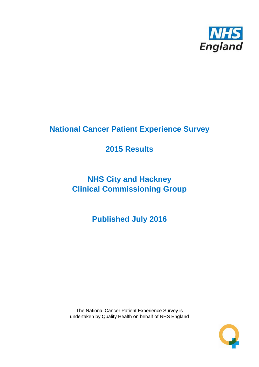

# **National Cancer Patient Experience Survey**

## **2015 Results**

# **NHS City and Hackney Clinical Commissioning Group**

**Published July 2016**

The National Cancer Patient Experience Survey is undertaken by Quality Health on behalf of NHS England

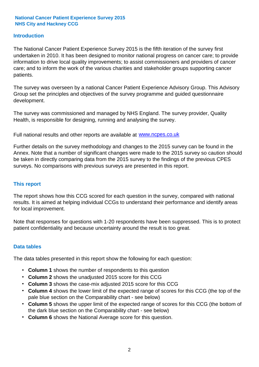#### **Introduction**

The National Cancer Patient Experience Survey 2015 is the fifth iteration of the survey first undertaken in 2010. It has been designed to monitor national progress on cancer care; to provide information to drive local quality improvements; to assist commissioners and providers of cancer care; and to inform the work of the various charities and stakeholder groups supporting cancer patients.

The survey was overseen by a national Cancer Patient Experience Advisory Group. This Advisory Group set the principles and objectives of the survey programme and guided questionnaire development.

The survey was commissioned and managed by NHS England. The survey provider, Quality Health, is responsible for designing, running and analysing the survey.

Full national results and other reports are available at www.ncpes.co.uk

Further details on the survey methodology and changes to the 2015 survey can be found in the Annex. Note that a number of significant changes were made to the 2015 survey so caution should be taken in directly comparing data from the 2015 survey to the findings of the previous CPES surveys. No comparisons with previous surveys are presented in this report.

#### **This report**

The report shows how this CCG scored for each question in the survey, compared with national results. It is aimed at helping individual CCGs to understand their performance and identify areas for local improvement.

Note that responses for questions with 1-20 respondents have been suppressed. This is to protect patient confidentiality and because uncertainty around the result is too great.

#### **Data tables**

The data tables presented in this report show the following for each question:

- **Column 1** shows the number of respondents to this question
- **Column 2** shows the unadjusted 2015 score for this CCG
- **Column 3** shows the case-mix adjusted 2015 score for this CCG
- **Column 4** shows the lower limit of the expected range of scores for this CCG (the top of the pale blue section on the Comparability chart - see below)
- **Column 5** shows the upper limit of the expected range of scores for this CCG (the bottom of the dark blue section on the Comparability chart - see below)
- **Column 6** shows the National Average score for this question.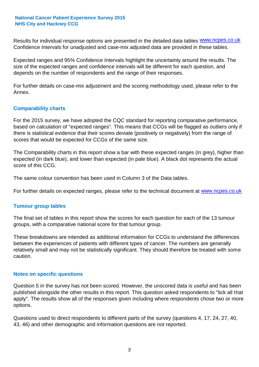Results for individual response options are presented in the detailed data tables **WWW.ncpes.co.uk** Confidence Intervals for unadjusted and case-mix adjusted data are provided in these tables.

Expected ranges and 95% Confidence Intervals highlight the uncertainty around the results. The size of the expected ranges and confidence intervals will be different for each question, and depends on the number of respondents and the range of their responses.

For further details on case-mix adjustment and the scoring methodology used, please refer to the Annex.

#### **Comparability charts**

For the 2015 survey, we have adopted the CQC standard for reporting comparative performance, based on calculation of "expected ranges". This means that CCGs will be flagged as outliers only if there is statistical evidence that their scores deviate (positively or negatively) from the range of scores that would be expected for CCGs of the same size.

The Comparability charts in this report show a bar with these expected ranges (in grey), higher than expected (in dark blue), and lower than expected (in pale blue). A black dot represents the actual score of this CCG.

The same colour convention has been used in Column 3 of the Data tables.

For further details on expected ranges, please refer to the technical document at **www.ncpes.co.uk** 

#### **Tumour group tables**

The final set of tables in this report show the scores for each question for each of the 13 tumour groups, with a comparative national score for that tumour group.

These breakdowns are intended as additional information for CCGs to understand the differences between the experiences of patients with different types of cancer. The numbers are generally relatively small and may not be statistically significant. They should therefore be treated with some caution.

#### **Notes on specific questions**

Question 5 in the survey has not been scored. However, the unscored data is useful and has been published alongside the other results in this report. This question asked respondents to "tick all that apply". The results show all of the responses given including where respondents chose two or more options.

Questions used to direct respondents to different parts of the survey (questions 4, 17, 24, 27, 40, 43, 46) and other demographic and information questions are not reported.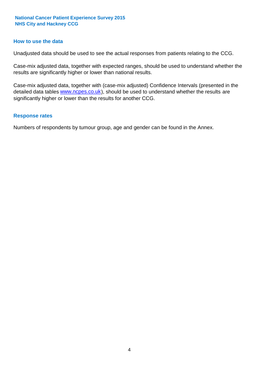#### **How to use the data**

Unadjusted data should be used to see the actual responses from patients relating to the CCG.

Case-mix adjusted data, together with expected ranges, should be used to understand whether the results are significantly higher or lower than national results.

Case-mix adjusted data, together with (case-mix adjusted) Confidence Intervals (presented in the detailed data tables **www.ncpes.co.uk**), should be used to understand whether the results are significantly higher or lower than the results for another CCG.

#### **Response rates**

Numbers of respondents by tumour group, age and gender can be found in the Annex.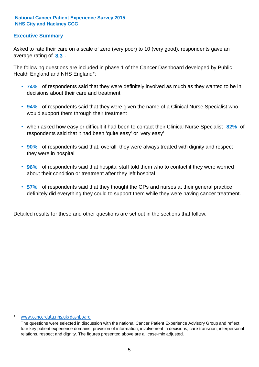## **Executive Summary**

average rating of 8.3. Asked to rate their care on a scale of zero (very poor) to 10 (very good), respondents gave an

The following questions are included in phase 1 of the Cancer Dashboard developed by Public Health England and NHS England\*:

- **74%** of respondents said that they were definitely involved as much as they wanted to be in decisions about their care and treatment
- **94%** of respondents said that they were given the name of a Clinical Nurse Specialist who would support them through their treatment
- when asked how easy or difficult it had been to contact their Clinical Nurse Specialist 82% of respondents said that it had been 'quite easy' or 'very easy'
- **90%** of respondents said that, overall, they were always treated with dignity and respect they were in hospital
- **96%** of respondents said that hospital staff told them who to contact if they were worried about their condition or treatment after they left hospital
- **57%** of respondents said that they thought the GPs and nurses at their general practice definitely did everything they could to support them while they were having cancer treatment.

Detailed results for these and other questions are set out in the sections that follow.

#### www.cancerdata.nhs.uk/dashboard

The questions were selected in discussion with the national Cancer Patient Experience Advisory Group and reflect four key patient experience domains: provision of information; involvement in decisions; care transition; interpersonal relations, respect and dignity. The figures presented above are all case-mix adjusted.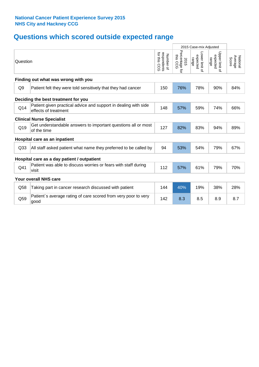## **Questions which scored outside expected range**

|                 |                                                                                         |                                                 |                                    | 2015 Case-mix Adjusted              |                                     |                              |  |  |  |
|-----------------|-----------------------------------------------------------------------------------------|-------------------------------------------------|------------------------------------|-------------------------------------|-------------------------------------|------------------------------|--|--|--|
| Question        |                                                                                         | for this<br>respondents<br>Number of<br>.<br>Sc | Percentage for<br>this CCG<br>2015 | Lower limit of<br>expected<br>range | Upper limit of<br>expected<br>range | National<br>Average<br>Score |  |  |  |
|                 | Finding out what was wrong with you                                                     |                                                 |                                    |                                     |                                     |                              |  |  |  |
| Q <sub>9</sub>  | Patient felt they were told sensitively that they had cancer                            | 150                                             | 76%                                | 78%                                 | 90%                                 | 84%                          |  |  |  |
|                 | Deciding the best treatment for you                                                     |                                                 |                                    |                                     |                                     |                              |  |  |  |
| Q14             | Patient given practical advice and support in dealing with side<br>effects of treatment | 148                                             | 57%                                | 59%                                 | 74%                                 | 66%                          |  |  |  |
|                 | <b>Clinical Nurse Specialist</b>                                                        |                                                 |                                    |                                     |                                     |                              |  |  |  |
| Q19             | Get understandable answers to important questions all or most<br>of the time            | 127                                             | 82%                                | 83%                                 | 94%                                 | 89%                          |  |  |  |
|                 | Hospital care as an inpatient                                                           |                                                 |                                    |                                     |                                     |                              |  |  |  |
| Q <sub>33</sub> | All staff asked patient what name they preferred to be called by                        | 94                                              | 53%                                | 54%                                 | 79%                                 | 67%                          |  |  |  |
|                 | Hospital care as a day patient / outpatient                                             |                                                 |                                    |                                     |                                     |                              |  |  |  |
| Q41             | Patient was able to discuss worries or fears with staff during<br>visit                 | 112                                             | 57%                                | 61%                                 | 79%                                 | 70%                          |  |  |  |
|                 | <b>Your overall NHS care</b>                                                            |                                                 |                                    |                                     |                                     |                              |  |  |  |
| Q58             | Taking part in cancer research discussed with patient                                   | 144                                             | 40%                                | 19%                                 | 38%                                 | 28%                          |  |  |  |
| Q59             | Patient's average rating of care scored from very poor to very<br>good                  | 142                                             | 8.3                                | 8.5                                 | 8.9                                 | 8.7                          |  |  |  |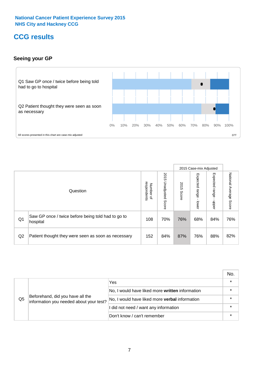## **CCG results**

## **Seeing your GP**



|    |                                                                |                                                     |                             |               | 2015 Case-mix Adjusted     |                            |                           |
|----|----------------------------------------------------------------|-----------------------------------------------------|-----------------------------|---------------|----------------------------|----------------------------|---------------------------|
|    | Question                                                       | respondents<br><b>Number</b><br>$\overline{\sigma}$ | 2015<br>Unadjusted<br>Score | 2015<br>Score | Expected<br>range<br>lower | Expected<br>range<br>nbber | National Average<br>Score |
| Q1 | Saw GP once / twice before being told had to go to<br>hospital | 108                                                 | 70%                         | 76%           | 68%                        | 84%                        | 76%                       |
| Q2 | Patient thought they were seen as soon as necessary            | 152                                                 | 84%                         | 87%           | 76%                        | 88%                        | 82%                       |

|    |                                                                             |                                                       | No.     |
|----|-----------------------------------------------------------------------------|-------------------------------------------------------|---------|
|    |                                                                             | Yes                                                   | $\star$ |
|    | Beforehand, did you have all the<br>information you needed about your test? | No, I would have liked more written information       |         |
| Q5 |                                                                             | No, I would have liked more <b>verbal</b> information |         |
|    |                                                                             | I did not need / want any information                 | $\star$ |
|    |                                                                             | Don't know / can't remember                           | $\star$ |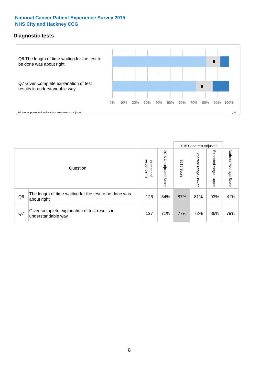## **Diagnostic tests**



|                |                                                                       |                                       |                             |               | 2015 Case-mix Adjusted  |                         |                           |
|----------------|-----------------------------------------------------------------------|---------------------------------------|-----------------------------|---------------|-------------------------|-------------------------|---------------------------|
|                | Question                                                              | respondents<br>Number<br>$\mathbf{Q}$ | 2015<br>Unadjusted<br>Score | 2015<br>Score | Expected range<br>lower | Expected range<br>nbber | National Average<br>Score |
| Q <sub>6</sub> | The length of time waiting for the test to be done was<br>about right | 126                                   | 84%                         | 87%           | 81%                     | 93%                     | 87%                       |
| Q7             | Given complete explanation of test results in<br>understandable way   | 127                                   | 71%                         | 77%           | 72%                     | 86%                     | 79%                       |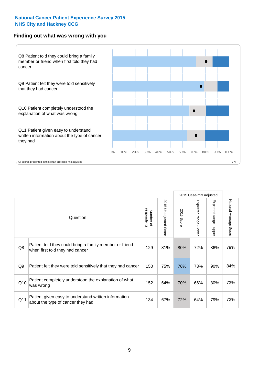#### **Finding out what was wrong with you**



|     |                                                                                            |                          |                             |               | 2015 Case-mix Adjusted    |                           |                        |
|-----|--------------------------------------------------------------------------------------------|--------------------------|-----------------------------|---------------|---------------------------|---------------------------|------------------------|
|     | Question                                                                                   | respondents<br>Number of | 2015<br>Unadjusted<br>Score | 2015<br>Score | Expected range<br>- lower | Expected range<br>- nbber | National Average Score |
| Q8  | Patient told they could bring a family member or friend<br>when first told they had cancer | 129                      | 81%                         | 80%           | 72%                       | 86%                       | 79%                    |
| Q9  | Patient felt they were told sensitively that they had cancer                               | 150                      | 75%                         | 76%           | 78%                       | 90%                       | 84%                    |
| Q10 | Patient completely understood the explanation of what<br>was wrong                         | 152                      | 64%                         | 70%           | 66%                       | 80%                       | 73%                    |
| Q11 | Patient given easy to understand written information<br>about the type of cancer they had  | 134                      | 67%                         | 72%           | 64%                       | 79%                       | 72%                    |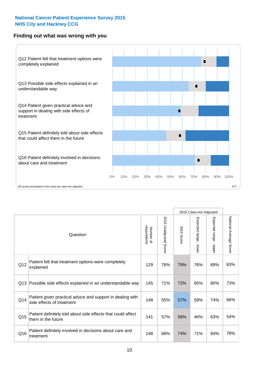## **Finding out what was wrong with you**



|     |                                                                                         |                          |                          |               | 2015 Case-mix Adjusted                  |                        |                        |
|-----|-----------------------------------------------------------------------------------------|--------------------------|--------------------------|---------------|-----------------------------------------|------------------------|------------------------|
|     | Question                                                                                | Number of<br>respondents | 2015<br>Unadjusted Score | 2015<br>Score | Expected range<br>$\mathbf{I}$<br>lower | Expected range - upper | National Average Score |
| Q12 | Patient felt that treatment options were completely<br>explained                        | 129                      | 76%                      | 79%           | 76%                                     | 89%                    | 83%                    |
| Q13 | Possible side effects explained in an understandable way                                | 145                      | 71%                      | 72%           | 65%                                     | 80%                    | 73%                    |
| Q14 | Patient given practical advice and support in dealing with<br>side effects of treatment | 148                      | 55%                      | 57%           | 59%                                     | 74%                    | 66%                    |
| Q15 | Patient definitely told about side effects that could affect<br>them in the future      | 141                      | 57%                      | 58%           | 46%                                     | 63%                    | 54%                    |
| Q16 | Patient definitely involved in decisions about care and<br>treatment                    | 148                      | 68%                      | 74%           | 71%                                     | 84%                    | 78%                    |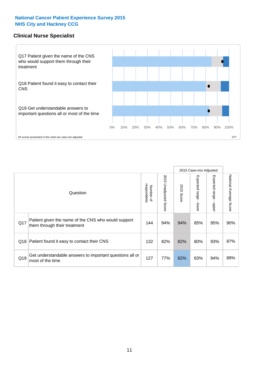## **Clinical Nurse Specialist**



|     |                                                                                     |                          |                       | 2015 Case-mix Adjusted |                         |                         |                                  |
|-----|-------------------------------------------------------------------------------------|--------------------------|-----------------------|------------------------|-------------------------|-------------------------|----------------------------------|
|     | Question                                                                            | respondents<br>Number of | 2015 Unadjusted Score | 2015<br>Score          | Expected range<br>lower | Expected range<br>nbber | National Average<br><b>Score</b> |
| Q17 | Patient given the name of the CNS who would support<br>them through their treatment | 144                      | 94%                   | 94%                    | 85%                     | 95%                     | 90%                              |
|     | Q18 Patient found it easy to contact their CNS                                      | 132                      | 82%                   | 82%                    | 80%                     | 93%                     | 87%                              |
| Q19 | Get understandable answers to important questions all or<br>most of the time        | 127                      | 77%                   | 82%                    | 83%                     | 94%                     | 89%                              |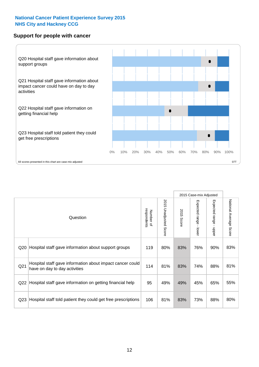#### **Support for people with cancer**



|                 |                                                                                            |                          |                                 |                      | 2015 Case-mix Adjusted  |                                           |                        |
|-----------------|--------------------------------------------------------------------------------------------|--------------------------|---------------------------------|----------------------|-------------------------|-------------------------------------------|------------------------|
|                 | Question                                                                                   | respondents<br>Number of | 2015<br><b>Unadjusted Score</b> | 2015<br><b>Score</b> | Expected range<br>lower | Expected range<br>$\blacksquare$<br>nbber | National Average Score |
| Q20             | Hospital staff gave information about support groups                                       | 119                      | 80%                             | 83%                  | 76%                     | 90%                                       | 83%                    |
| Q21             | Hospital staff gave information about impact cancer could<br>have on day to day activities | 114                      | 81%                             | 83%                  | 74%                     | 88%                                       | 81%                    |
| Q22             | Hospital staff gave information on getting financial help                                  | 95                       | 49%                             | 49%                  | 45%                     | 65%                                       | 55%                    |
| Q <sub>23</sub> | Hospital staff told patient they could get free prescriptions                              | 106                      | 81%                             | 83%                  | 73%                     | 88%                                       | 80%                    |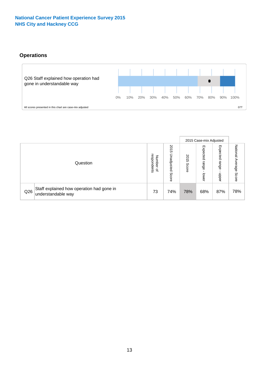## **Operations**



|     |                                                                 |                                         |                             |               | 2015 Case-mix Adjusted     |                           |                              |
|-----|-----------------------------------------------------------------|-----------------------------------------|-----------------------------|---------------|----------------------------|---------------------------|------------------------------|
|     | Question                                                        | respondents<br>Number<br>$\overline{a}$ | 2015<br>Unadjusted<br>Score | 2015<br>Score | Expected<br>range<br>lower | Expected<br>range<br>ddoe | National<br>Average<br>Score |
| Q26 | Staff explained how operation had gone in<br>understandable way | 73                                      | 74%                         | 78%           | 68%                        | 87%                       | 78%                          |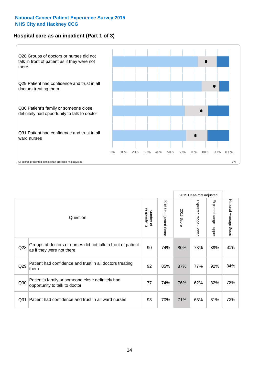## **Hospital care as an inpatient (Part 1 of 3)**



All scores presented in this chart are case-mix adjusted  $07T$ 

|                 |                                                                                           |                          |                                 |               | 2015 Case-mix Adjusted                    |                                           |                        |
|-----------------|-------------------------------------------------------------------------------------------|--------------------------|---------------------------------|---------------|-------------------------------------------|-------------------------------------------|------------------------|
|                 | Question                                                                                  | respondents<br>Number of | 2015<br><b>Unadjusted Score</b> | 2015<br>Score | Expected range<br>$\blacksquare$<br>lower | Expected range<br>$\blacksquare$<br>nbber | National Average Score |
| Q <sub>28</sub> | Groups of doctors or nurses did not talk in front of patient<br>as if they were not there | 90                       | 74%                             | 80%           | 73%                                       | 89%                                       | 81%                    |
| Q29             | Patient had confidence and trust in all doctors treating<br>them                          | 92                       | 85%                             | 87%           | 77%                                       | 92%                                       | 84%                    |
| Q30             | Patient's family or someone close definitely had<br>opportunity to talk to doctor         | 77                       | 74%                             | 76%           | 62%                                       | 82%                                       | 72%                    |
| Q <sub>31</sub> | Patient had confidence and trust in all ward nurses                                       | 93                       | 70%                             | 71%           | 63%                                       | 81%                                       | 72%                    |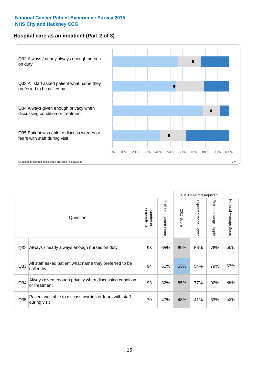## **Hospital care as an inpatient (Part 2 of 3)**



|                 |                                                                         |                          |                                 |               | 2015 Case-mix Adjusted                    |                        |                        |
|-----------------|-------------------------------------------------------------------------|--------------------------|---------------------------------|---------------|-------------------------------------------|------------------------|------------------------|
|                 | Question                                                                | respondents<br>Number of | 2015<br><b>Unadjusted Score</b> | 2015<br>Score | Expected range<br>$\blacksquare$<br>lower | Expected range - upper | National Average Score |
| Q <sub>32</sub> | Always / nearly always enough nurses on duty                            | 93                       | 65%                             | 69%           | 56%                                       | 76%                    | 66%                    |
| Q <sub>33</sub> | All staff asked patient what name they preferred to be<br>called by     | 94                       | 51%                             | 53%           | 54%                                       | 79%                    | 67%                    |
| Q <sub>34</sub> | Always given enough privacy when discussing condition<br>or treatment   | 93                       | 82%                             | 85%           | 77%                                       | 92%                    | 85%                    |
| Q35             | Patient was able to discuss worries or fears with staff<br>during visit | 79                       | 47%                             | 48%           | 41%                                       | 63%                    | 52%                    |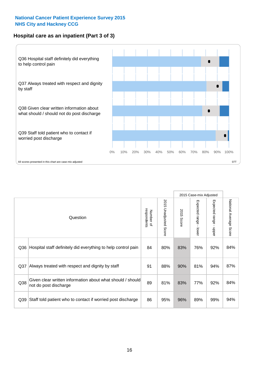## **Hospital care as an inpatient (Part 3 of 3)**



|                 |                                                                                     |                          |                          |               | 2015 Case-mix Adjusted                    |                           |                        |
|-----------------|-------------------------------------------------------------------------------------|--------------------------|--------------------------|---------------|-------------------------------------------|---------------------------|------------------------|
|                 | Question                                                                            | Number of<br>respondents | 2015<br>Unadjusted Score | 2015<br>Score | Expected range<br>$\blacksquare$<br>lower | Expected range -<br>nbber | National Average Score |
| Q36             | Hospital staff definitely did everything to help control pain                       | 84                       | 80%                      | 83%           | 76%                                       | 92%                       | 84%                    |
| Q <sub>37</sub> | Always treated with respect and dignity by staff                                    | 91                       | 88%                      | 90%           | 81%                                       | 94%                       | 87%                    |
| Q38             | Given clear written information about what should / should<br>not do post discharge | 89                       | 81%                      | 83%           | 77%                                       | 92%                       | 84%                    |
| Q39             | Staff told patient who to contact if worried post discharge                         | 86                       | 95%                      | 96%           | 89%                                       | 99%                       | 94%                    |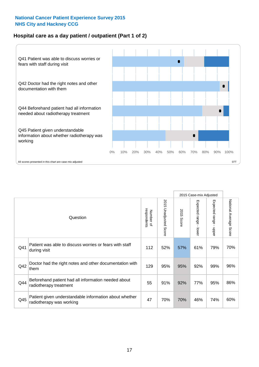## **Hospital care as a day patient / outpatient (Part 1 of 2)**



|     |                                                                                    |                          |                                 |                      | 2015 Case-mix Adjusted                  |                                         |                        |
|-----|------------------------------------------------------------------------------------|--------------------------|---------------------------------|----------------------|-----------------------------------------|-----------------------------------------|------------------------|
|     | Question                                                                           | respondents<br>Number of | 2015<br><b>Unadjusted Score</b> | 2015<br><b>Score</b> | Expected range<br>$\mathbf{r}$<br>lower | Expected range<br>$\mathbf{I}$<br>nbber | National Average Score |
| Q41 | Patient was able to discuss worries or fears with staff<br>during visit            | 112                      | 52%                             | 57%                  | 61%                                     | 79%                                     | 70%                    |
| Q42 | Doctor had the right notes and other documentation with<br>them                    | 129                      | 95%                             | 95%                  | 92%                                     | 99%                                     | 96%                    |
| Q44 | Beforehand patient had all information needed about<br>radiotherapy treatment      | 55                       | 91%                             | 92%                  | 77%                                     | 95%                                     | 86%                    |
| Q45 | Patient given understandable information about whether<br>radiotherapy was working | 47                       | 70%                             | 70%                  | 46%                                     | 74%                                     | 60%                    |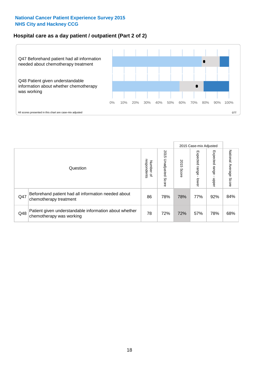## **Hospital care as a day patient / outpatient (Part 2 of 2)**



|     |                                                                                    |                                   |                             |               |                              | 2015 Case-mix Adjusted  |                           |
|-----|------------------------------------------------------------------------------------|-----------------------------------|-----------------------------|---------------|------------------------------|-------------------------|---------------------------|
|     | Question                                                                           | respondents<br>Number<br>$\Omega$ | 2015<br>Unadjusted<br>Score | 2015<br>Score | Expected<br>I range<br>lower | Expected range<br>doper | National Average<br>Score |
| Q47 | Beforehand patient had all information needed about<br>chemotherapy treatment      | 86                                | 78%                         | 78%           | 77%                          | 92%                     | 84%                       |
| Q48 | Patient given understandable information about whether<br>chemotherapy was working | 78                                | 72%                         | 72%           | 57%                          | 78%                     | 68%                       |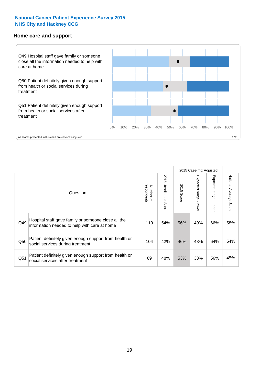#### **Home care and support**



2015 Case-mix Adjusted 2015 Unadjusted Score Expected range - upper National Average Score 2015 Unadjusted Score Expected range - lower National Average Score Expected range - lower Expected range - upper Number of<br>respondents respondents 2015 Score 2015 Score Number of Question Hospital staff gave family or someone close all the  $Q49$  information needed to help with care at home  $119$  |  $54\%$  |  $56\%$  |  $49\%$  |  $66\%$  |  $58\%$ Patient definitely given enough support from health or  $\frac{1050}{\text{social services during treatment}}$  and treatment  $\frac{104}{\text{32\%}}$   $\frac{42\%}{\text{46\%}}$   $\frac{43\%}{\text{43\%}}$  64%  $\frac{54\%}{\text{64\%}}$ Patient definitely given enough support from health or  $\frac{1}{2}$  and the dominary given enough support nominealities  $\frac{69}{69}$  48% 53% 33% 56% 45%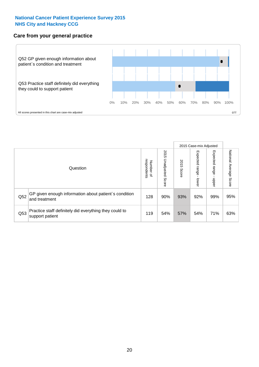#### **Care from your general practice**



|     |                                                                           |                                       |                             |               |                                    | 2015 Case-mix Adjusted     |                           |
|-----|---------------------------------------------------------------------------|---------------------------------------|-----------------------------|---------------|------------------------------------|----------------------------|---------------------------|
|     | Question                                                                  | respondents<br>Number<br>$\mathbf{Q}$ | 2015<br>Unadjusted<br>Score | 2015<br>Score | Expected<br><b>Irange</b><br>lower | Expected<br>range<br>doper | National Average<br>Score |
| Q52 | GP given enough information about patient's condition<br>and treatment    | 128                                   | 90%                         | 93%           | 92%                                | 99%                        | 95%                       |
| Q53 | Practice staff definitely did everything they could to<br>support patient | 119                                   | 54%                         | 57%           | 54%                                | 71%                        | 63%                       |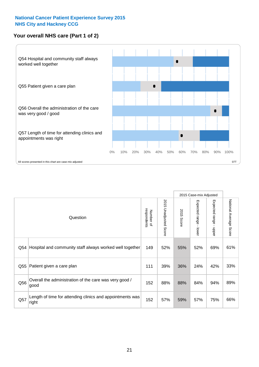## **Your overall NHS care (Part 1 of 2)**



|     |                                                                    |                          |                                 | 2015 Case-mix Adjusted |                         |                                           |                        |
|-----|--------------------------------------------------------------------|--------------------------|---------------------------------|------------------------|-------------------------|-------------------------------------------|------------------------|
|     | Question                                                           | respondents<br>Number of | 2015<br><b>Unadjusted Score</b> | 2015<br>Score          | Expected range<br>lower | Expected range<br>$\blacksquare$<br>nbber | National Average Score |
| Q54 | Hospital and community staff always worked well together           | 149                      | 52%                             | 55%                    | 52%                     | 69%                                       | 61%                    |
| Q55 | Patient given a care plan                                          | 111                      | 39%                             | 36%                    | 24%                     | 42%                                       | 33%                    |
| Q56 | Overall the administration of the care was very good /<br>good     | 152                      | 88%                             | 88%                    | 84%                     | 94%                                       | 89%                    |
| Q57 | Length of time for attending clinics and appointments was<br>right | 152                      | 57%                             | 59%                    | 57%                     | 75%                                       | 66%                    |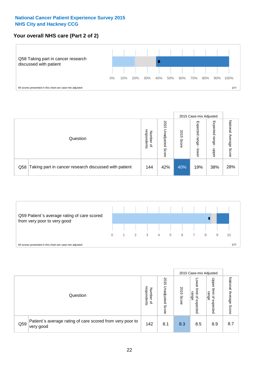## **Your overall NHS care (Part 2 of 2)**



|     |                                                       |                                         |                             |               |                            | 2015 Case-mix Adjusted     |                        |
|-----|-------------------------------------------------------|-----------------------------------------|-----------------------------|---------------|----------------------------|----------------------------|------------------------|
|     | Question                                              | respondents<br>Number<br>$\overline{a}$ | 2015<br>Jnadjusted<br>Score | 2015<br>Score | Expected<br>range<br>lower | Expected<br>range<br>doper | National Average Score |
| Q58 | Taking part in cancer research discussed with patient | 144                                     | 42%                         | 40%           | 19%                        | 38%                        | 28%                    |



|     |                                                                        |                                   |                             |               |                                                           | 2015 Case-mix Adjusted                                |                              |
|-----|------------------------------------------------------------------------|-----------------------------------|-----------------------------|---------------|-----------------------------------------------------------|-------------------------------------------------------|------------------------------|
|     | Question                                                               | respondents<br>Number<br>$\Omega$ | 2015<br>Inadjusted<br>Score | 2015<br>Score | OWer<br>limit<br>range<br>$\overline{\sigma}$<br>expected | Upper<br>limit<br>range<br>$\overline{a}$<br>expected | National<br>Average<br>Score |
| Q59 | Patient's average rating of care scored from very poor to<br>very good | 142                               | 8.1                         | 8.3           | 8.5                                                       | 8.9                                                   | 8.7                          |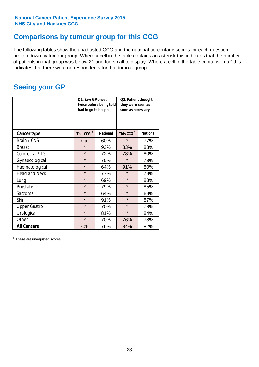## **Comparisons by tumour group for this CCG**

The following tables show the unadjusted CCG and the national percentage scores for each question broken down by tumour group. Where a cell in the table contains an asterisk this indicates that the number of patients in that group was below 21 and too small to display. Where a cell in the table contains "n.a." this indicates that there were no respondents for that tumour group.

## **Seeing your GP**

|                      | Q1. Saw GP once /<br>had to go to hospital | twice before being told | Q2. Patient thought<br>they were seen as<br>soon as necessary |                 |  |
|----------------------|--------------------------------------------|-------------------------|---------------------------------------------------------------|-----------------|--|
| <b>Cancer type</b>   | This CCG <sup>\$</sup>                     | <b>National</b>         | This CCG <sup>\$</sup>                                        | <b>National</b> |  |
| Brain / CNS          | n.a.                                       | 60%                     | $\star$                                                       | 77%             |  |
| <b>Breast</b>        | $\star$                                    | 93%                     | 83%                                                           | 88%             |  |
| Colorectal / LGT     | $\star$                                    | 72%                     | 78%                                                           | 80%             |  |
| Gynaecological       | $\star$                                    | 75%                     | $\star$                                                       | 78%             |  |
| Haematological       | $\star$                                    | 64%                     | 91%                                                           | 80%             |  |
| <b>Head and Neck</b> | $\star$                                    | 77%                     | $\star$                                                       | 79%             |  |
| Lung                 | $\star$                                    | 69%                     | $\star$                                                       | 83%             |  |
| Prostate             | $\star$                                    | 79%                     | $\star$                                                       | 85%             |  |
| Sarcoma              | $\star$                                    | 64%                     | $\star$                                                       | 69%             |  |
| <b>Skin</b>          | $\star$                                    | 91%                     | $\star$                                                       | 87%             |  |
| <b>Upper Gastro</b>  | $\star$                                    | 70%                     | $\star$                                                       | 78%             |  |
| Urological           | $\star$                                    | 81%                     | $\star$                                                       | 84%             |  |
| Other                | $\star$                                    | 70%                     | 76%                                                           | 78%             |  |
| <b>All Cancers</b>   | 70%                                        | 76%                     | 84%                                                           | 82%             |  |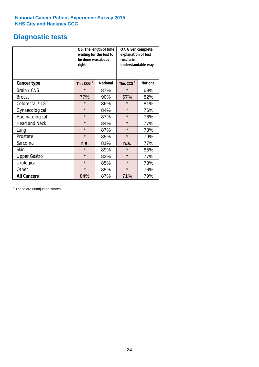## **Diagnostic tests**

|                      | be done was about<br>right | Q6. The length of time<br>waiting for the test to | Q7. Given complete<br>explanation of test<br>results in<br>understandable way |                 |  |  |
|----------------------|----------------------------|---------------------------------------------------|-------------------------------------------------------------------------------|-----------------|--|--|
| <b>Cancer type</b>   | This CCG <sup>\$</sup>     | <b>National</b>                                   | This CCG <sup>\$</sup>                                                        | <b>National</b> |  |  |
| Brain / CNS          | $\star$                    | 87%                                               | $\star$                                                                       | 69%             |  |  |
| <b>Breast</b>        | 77%                        | 90%                                               | 67%                                                                           | 82%             |  |  |
| Colorectal / LGT     | $\star$                    | 86%                                               | $\star$                                                                       | 81%             |  |  |
| Gynaecological       | $\star$                    | 84%                                               | $\star$                                                                       | 76%             |  |  |
| Haematological       | $\star$                    | 87%                                               | $\star$                                                                       | 76%             |  |  |
| <b>Head and Neck</b> | $\star$                    | 84%                                               | $\star$                                                                       | 77%             |  |  |
| Lung                 | $\star$                    | 87%                                               | $\star$                                                                       | 78%             |  |  |
| Prostate             | $\star$                    | 85%                                               | $\star$                                                                       | 79%             |  |  |
| Sarcoma              | n.a.                       | 81%                                               | n.a.                                                                          | 77%             |  |  |
| Skin                 | $\star$                    | 89%                                               | $\star$                                                                       | 85%             |  |  |
| <b>Upper Gastro</b>  | $\star$                    | 83%                                               | $\star$                                                                       | 77%             |  |  |
| Urological           | $\star$                    | 85%                                               | $\star$                                                                       | 78%             |  |  |
| Other                | $\star$                    | 85%                                               | $\star$                                                                       | 76%             |  |  |
| <b>All Cancers</b>   | 84%                        | 87%                                               | 71%                                                                           | 79%             |  |  |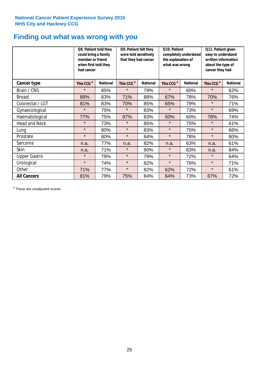## **Finding out what was wrong with you**

|                      | Q8. Patient told they<br>could bring a family<br>member or friend<br>when first told they<br>had cancer |                 | Q9. Patient felt they<br>were told sensitively<br>that they had cancer |                 | Q10. Patient<br>completely understood<br>the explanation of<br>what was wrong |                 | Q11. Patient given<br>easy to understand<br>written information<br>about the type of<br>cancer they had |                 |
|----------------------|---------------------------------------------------------------------------------------------------------|-----------------|------------------------------------------------------------------------|-----------------|-------------------------------------------------------------------------------|-----------------|---------------------------------------------------------------------------------------------------------|-----------------|
| Cancer type          | This CCG <sup>\$</sup>                                                                                  | <b>National</b> | This CCG <sup>\$</sup>                                                 | <b>National</b> | This CCG <sup>\$</sup>                                                        | <b>National</b> | This CCG <sup>\$</sup>                                                                                  | <b>National</b> |
| Brain / CNS          | $\star$                                                                                                 | 85%             | $\star$                                                                | 79%             | $\star$                                                                       | 60%             | $\star$                                                                                                 | 62%             |
| <b>Breast</b>        | 89%                                                                                                     | 83%             | 71%                                                                    | 88%             | 67%                                                                           | 78%             | 70%                                                                                                     | 76%             |
| Colorectal / LGT     | 81%                                                                                                     | 83%             | 70%                                                                    | 85%             | 65%                                                                           | 79%             | $\star$                                                                                                 | 71%             |
| Gynaecological       | $\star$                                                                                                 | 75%             | $\star$                                                                | 83%             | $\star$                                                                       | 73%             | $\star$                                                                                                 | 69%             |
| Haematological       | 77%                                                                                                     | 75%             | 87%                                                                    | 83%             | 50%                                                                           | 60%             | 78%                                                                                                     | 74%             |
| <b>Head and Neck</b> | $\star$                                                                                                 | 73%             | $\star$                                                                | 85%             | $\star$                                                                       | 75%             | $\star$                                                                                                 | 61%             |
| Lung                 | $\star$                                                                                                 | 80%             | $\star$                                                                | 83%             | $\star$                                                                       | 75%             | $\star$                                                                                                 | 66%             |
| Prostate             | $\star$                                                                                                 | 80%             | $\star$                                                                | 84%             | $\star$                                                                       | 78%             | $\star$                                                                                                 | 80%             |
| Sarcoma              | n.a.                                                                                                    | 77%             | n.a.                                                                   | 82%             | n.a.                                                                          | 63%             | n.a.                                                                                                    | 61%             |
| Skin                 | n.a.                                                                                                    | 71%             | $\star$                                                                | 90%             | $\star$                                                                       | 83%             | n.a.                                                                                                    | 84%             |
| <b>Upper Gastro</b>  | $\star$                                                                                                 | 79%             | $\star$                                                                | 79%             | $\star$                                                                       | 72%             | $\star$                                                                                                 | 64%             |
| Urological           | $\star$                                                                                                 | 74%             | $\star$                                                                | 82%             | $\star$                                                                       | 76%             | $\star$                                                                                                 | 71%             |
| Other                | 71%                                                                                                     | 77%             | $\star$                                                                | 82%             | 62%                                                                           | 72%             | $\star$                                                                                                 | 61%             |
| <b>All Cancers</b>   | 81%                                                                                                     | 79%             | 75%                                                                    | 84%             | 64%                                                                           | 73%             | 67%                                                                                                     | 72%             |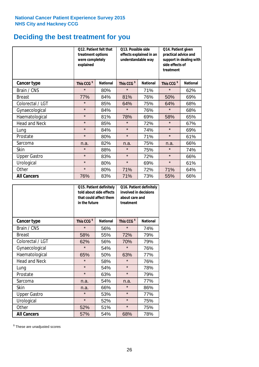## **Deciding the best treatment for you**

|                      | treatment options<br>were completely<br>explained | <b>Q12. Patient felt that</b> | Q13. Possible side<br>understandable way  | effects explained in an | Q14. Patient given<br>practical advice and<br>support in dealing with<br>side effects of<br>treatment |                 |  |
|----------------------|---------------------------------------------------|-------------------------------|-------------------------------------------|-------------------------|-------------------------------------------------------------------------------------------------------|-----------------|--|
| <b>Cancer type</b>   | This CCG <sup>\$</sup>                            | <b>National</b>               | This CCG <sup>\$</sup><br><b>National</b> |                         | This CCG <sup>\$</sup>                                                                                | <b>National</b> |  |
| Brain / CNS          | $\star$                                           | 80%                           | $\star$                                   | 71%                     | $\star$                                                                                               | 62%             |  |
| <b>Breast</b>        | 77%                                               | 84%                           | 81%                                       | 76%                     | 50%                                                                                                   | 69%             |  |
| Colorectal / LGT     | $\star$                                           | 85%                           | 64%                                       | 75%                     | 64%                                                                                                   | 68%             |  |
| Gynaecological       | $\star$                                           | 84%                           | $\star$                                   | 76%                     | $\star$                                                                                               | 68%             |  |
| Haematological       | $\star$                                           | 81%                           | 78%                                       | 69%                     | 58%                                                                                                   | 65%             |  |
| <b>Head and Neck</b> | $\star$                                           | 85%                           | $\star$                                   | 72%                     | $\star$                                                                                               | 67%             |  |
| Lung                 | $\star$                                           | 84%                           | $\star$                                   | 74%                     | $\star$                                                                                               | 69%             |  |
| Prostate             | $\star$                                           | 80%                           | $\star$                                   | 71%                     | $\star$                                                                                               | 61%             |  |
| Sarcoma              | n.a.                                              | 82%                           | n.a.                                      | 75%                     | n.a.                                                                                                  | 66%             |  |
| Skin                 | $\star$                                           | 88%                           | $\star$                                   | 75%                     | $\star$                                                                                               | 74%             |  |
| <b>Upper Gastro</b>  | $\star$                                           | 83%                           | $\star$                                   | 72%                     | $\star$                                                                                               | 66%             |  |
| Urological           | $\star$                                           | 80%                           | $\star$                                   | 69%                     | $\star$                                                                                               | 61%             |  |
| Other                | $\star$                                           | 80%                           | 71%                                       | 72%                     |                                                                                                       | 64%             |  |
| <b>All Cancers</b>   | 76%                                               | 83%                           | 71%                                       | 73%                     | 55%                                                                                                   | 66%             |  |

|                      | in the future          | Q15. Patient definitely<br>told about side effects<br>that could affect them | Q16. Patient definitely<br>involved in decisions<br>about care and<br>treatment |                 |  |
|----------------------|------------------------|------------------------------------------------------------------------------|---------------------------------------------------------------------------------|-----------------|--|
| <b>Cancer type</b>   | This CCG <sup>\$</sup> | <b>National</b>                                                              | This CCG <sup>\$</sup>                                                          | <b>National</b> |  |
| Brain / CNS          | $\star$                | 56%                                                                          | $\star$                                                                         | 74%             |  |
| <b>Breast</b>        | 58%                    | 55%                                                                          | 72%                                                                             | 79%             |  |
| Colorectal / LGT     | 62%                    | 56%                                                                          | 70%                                                                             | 79%             |  |
| Gynaecological       | $\star$<br>54%         |                                                                              | $\star$                                                                         | 76%             |  |
| Haematological       | 50%<br>65%             |                                                                              | 63%                                                                             | 77%             |  |
| <b>Head and Neck</b> | $\star$                | 58%                                                                          | $\star$                                                                         | 76%             |  |
| Lung                 | $\star$                | 54%                                                                          | $\star$                                                                         | 78%             |  |
| Prostate             | $\star$                | 63%                                                                          | $\star$                                                                         | 79%             |  |
| Sarcoma              | n.a.                   | 54%                                                                          | n.a.                                                                            | 77%             |  |
| <b>Skin</b>          | n.a.                   | 66%                                                                          | $\star$                                                                         | 86%             |  |
| <b>Upper Gastro</b>  | $\star$                | 53%                                                                          | $\star$                                                                         | 77%             |  |
| Urological           | $\star$                | 52%                                                                          | $\star$                                                                         | 75%             |  |
| Other                | 52%                    | 51%                                                                          | $\star$                                                                         | 75%             |  |
| <b>All Cancers</b>   | 57%                    | 54%                                                                          | 68%                                                                             | 78%             |  |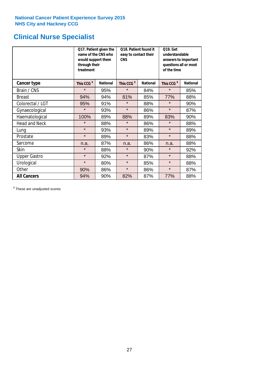## **Clinical Nurse Specialist**

|                      | would support them<br>through their<br>treatment | Q17. Patient given the<br>name of the CNS who | Q18. Patient found it<br>easy to contact their<br><b>CNS</b> |                 | <b>Q19. Get</b><br>understandable<br>answers to important<br>questions all or most<br>of the time |                 |  |
|----------------------|--------------------------------------------------|-----------------------------------------------|--------------------------------------------------------------|-----------------|---------------------------------------------------------------------------------------------------|-----------------|--|
| <b>Cancer type</b>   | This CCG <sup>\$</sup>                           | <b>National</b>                               | This CCG <sup>\$</sup>                                       | <b>National</b> | This CCG <sup>\$</sup>                                                                            | <b>National</b> |  |
| Brain / CNS          | $\star$                                          | 95%                                           | $\star$                                                      | 84%             | $\star$                                                                                           | 85%             |  |
| <b>Breast</b>        | 94%                                              | 94%                                           | 81%                                                          | 85%             | 77%                                                                                               | 88%             |  |
| Colorectal / LGT     | 95%                                              | 91%                                           | $\star$                                                      | 88%             | $\star$                                                                                           | 90%             |  |
| Gynaecological       | $\star$                                          | 93%                                           | $\star$                                                      | 86%             | $\star$                                                                                           | 87%             |  |
| Haematological       | 100%                                             | 89%                                           | 88%                                                          | 89%             | 83%                                                                                               | 90%             |  |
| <b>Head and Neck</b> | $\star$                                          | 88%                                           | $\star$                                                      | 86%             | $\star$                                                                                           | 88%             |  |
| Lung                 | $\star$                                          | 93%                                           | $\star$                                                      | 89%             | $\star$                                                                                           | 89%             |  |
| Prostate             | $\star$                                          | 89%                                           | $\star$                                                      | 83%             | $\star$                                                                                           | 88%             |  |
| Sarcoma              | n.a.                                             | 87%                                           | n.a.                                                         | 86%             | n.a.                                                                                              | 88%             |  |
| Skin                 | $\star$                                          | 88%                                           | $\star$                                                      | 90%             | $\star$                                                                                           | 92%             |  |
| <b>Upper Gastro</b>  | $\star$                                          | 92%                                           | $\star$                                                      | 87%             | $\star$                                                                                           | 88%             |  |
| Urological           | $\star$                                          | 80%                                           | $\star$                                                      | 85%             | $\star$                                                                                           | 88%             |  |
| Other                | 90%                                              | 86%                                           | $\star$                                                      | 86%             | $\star$                                                                                           | 87%             |  |
| <b>All Cancers</b>   | 94%                                              | 90%                                           | 82%                                                          | 87%             | 77%                                                                                               | 88%             |  |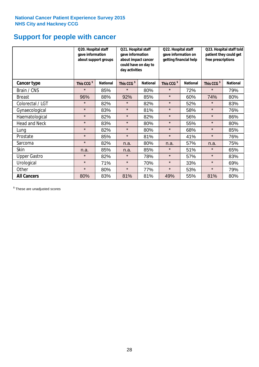## **Support for people with cancer**

|                      | Q20. Hospital staff<br>gave information | about support groups | Q21. Hospital staff<br>gave information<br>about impact cancer<br>could have on day to<br>day activities |                 | Q22. Hospital staff<br>gave information on<br>getting financial help |                 | Q23. Hospital staff told<br>patient they could get<br>free prescriptions |                 |
|----------------------|-----------------------------------------|----------------------|----------------------------------------------------------------------------------------------------------|-----------------|----------------------------------------------------------------------|-----------------|--------------------------------------------------------------------------|-----------------|
| Cancer type          | This CCG <sup>\$</sup>                  | <b>National</b>      | This CCG <sup>\$</sup>                                                                                   | <b>National</b> | This CCG <sup>\$</sup>                                               | <b>National</b> | This CCG <sup>\$</sup>                                                   | <b>National</b> |
| Brain / CNS          | $\star$                                 | 85%                  | $\star$                                                                                                  | 80%             | $\star$                                                              | 72%             | $\star$                                                                  | 79%             |
| <b>Breast</b>        | 96%                                     | 88%                  | 92%                                                                                                      | 85%             | $\star$                                                              | 60%             | 74%                                                                      | 80%             |
| Colorectal / LGT     | $\star$                                 | 82%                  | $\star$                                                                                                  | 82%             | $\star$                                                              | 52%             | $\star$                                                                  | 83%             |
| Gynaecological       | $\star$                                 | 83%                  | $\star$                                                                                                  | 81%             | $\star$                                                              | 58%             | $\star$                                                                  | 76%             |
| Haematological       | $\star$                                 | 82%                  | $\star$                                                                                                  | 82%             | $\star$                                                              | 56%             | $\star$                                                                  | 86%             |
| <b>Head and Neck</b> | $\star$                                 | 83%                  | $\star$                                                                                                  | 80%             | $\star$                                                              | 55%             | $\star$                                                                  | 80%             |
| Lung                 | $\star$                                 | 82%                  | $\star$                                                                                                  | 80%             | $\star$                                                              | 68%             | $\star$                                                                  | 85%             |
| Prostate             | $\star$                                 | 85%                  | $\star$                                                                                                  | 81%             | $\star$                                                              | 41%             | $\star$                                                                  | 76%             |
| Sarcoma              | $\star$                                 | 82%                  | n.a.                                                                                                     | 80%             | n.a.                                                                 | 57%             | n.a.                                                                     | 75%             |
| Skin                 | n.a.                                    | 85%                  | n.a.                                                                                                     | 85%             | $\star$                                                              | 51%             | $\star$                                                                  | 65%             |
| <b>Upper Gastro</b>  | $\star$                                 | 82%                  | $\star$                                                                                                  | 78%             | $\star$                                                              | 57%             | $\star$                                                                  | 83%             |
| Urological           | $\star$                                 | 71%                  | $\star$                                                                                                  | 70%             | $\star$                                                              | 33%             | $\star$                                                                  | 69%             |
| Other                | $\star$                                 | 80%                  | $\star$                                                                                                  | 77%             | $\star$                                                              | 53%             | $\star$                                                                  | 79%             |
| <b>All Cancers</b>   | 80%                                     | 83%                  | 81%                                                                                                      | 81%             | 49%                                                                  | 55%             | 81%                                                                      | 80%             |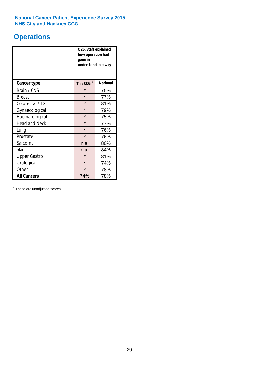## **Operations**

|                      | Q26. Staff explained<br>how operation had<br>gone in<br>understandable way |                 |  |  |
|----------------------|----------------------------------------------------------------------------|-----------------|--|--|
| <b>Cancer type</b>   | This CCG <sup>\$</sup>                                                     | <b>National</b> |  |  |
| Brain / CNS          | $\star$                                                                    | 75%             |  |  |
| <b>Breast</b>        | $\star$                                                                    | 77%             |  |  |
| Colorectal / LGT     | $\star$                                                                    | 81%             |  |  |
| Gynaecological       | $\star$                                                                    | 79%             |  |  |
| Haematological       | $\star$<br>75%                                                             |                 |  |  |
| <b>Head and Neck</b> | $\star$                                                                    | 77%             |  |  |
| Lung                 | $\star$                                                                    | 76%             |  |  |
| Prostate             | $\star$                                                                    | 76%             |  |  |
| Sarcoma              | n.a.                                                                       | 80%             |  |  |
| Skin                 | n.a.                                                                       | 84%             |  |  |
| <b>Upper Gastro</b>  | $\star$                                                                    | 81%             |  |  |
| Urological           | $\star$                                                                    | 74%             |  |  |
| Other                | $\star$<br>78%                                                             |                 |  |  |
| <b>All Cancers</b>   | 74%                                                                        | 78%             |  |  |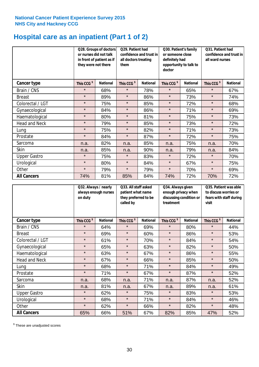## **Hospital care as an inpatient (Part 1 of 2)**

|                      | or nurses did not talk<br>they were not there | Q28. Groups of doctors<br>in front of patient as if | Q29. Patient had<br>confidence and trust in<br>all doctors treating<br>them |                 | Q30. Patient's family<br>or someone close<br>definitely had<br>opportunity to talk to<br>doctor |                 | Q31. Patient had<br>confidence and trust in  <br>all ward nurses |                 |
|----------------------|-----------------------------------------------|-----------------------------------------------------|-----------------------------------------------------------------------------|-----------------|-------------------------------------------------------------------------------------------------|-----------------|------------------------------------------------------------------|-----------------|
| Cancer type          | This CCG <sup>\$</sup>                        | <b>National</b>                                     | This CCG <sup>\$</sup>                                                      | <b>National</b> | This CCG <sup>\$</sup>                                                                          | <b>National</b> | This CCG <sup>\$</sup>                                           | <b>National</b> |
| Brain / CNS          | $\star$                                       | 68%                                                 | $\star$                                                                     | 78%             | $\star$                                                                                         | 65%             | $\star$                                                          | 67%             |
| <b>Breast</b>        | $\star$                                       | 89%                                                 | $\star$                                                                     | 86%             | $\star$                                                                                         | 73%             | $\star$                                                          | 74%             |
| Colorectal / LGT     | $\star$                                       | 75%                                                 | $\star$                                                                     | 85%             | $\star$                                                                                         | 72%             | $\star$                                                          | 68%             |
| Gynaecological       | $\star$                                       | 84%                                                 | $\star$                                                                     | 86%             | $\star$                                                                                         | 71%             | $\star$                                                          | 69%             |
| Haematological       | $\star$                                       | 80%                                                 | $\star$                                                                     | 81%             | $\star$                                                                                         | 75%             | $\star$                                                          | 73%             |
| <b>Head and Neck</b> | $\star$                                       | 79%                                                 | $\star$                                                                     | 85%             | $\star$                                                                                         | 73%             | $\star$                                                          | 72%             |
| Lung                 | $\star$                                       | 75%                                                 | $\star$                                                                     | 82%             | $\star$                                                                                         | 71%             | $\star$                                                          | 73%             |
| Prostate             | $\star$                                       | 84%                                                 | $\star$                                                                     | 87%             | $\star$                                                                                         | 72%             | $\star$                                                          | 75%             |
| Sarcoma              | n.a.                                          | 82%                                                 | n.a.                                                                        | 85%             | n.a.                                                                                            | 75%             | n.a.                                                             | 70%             |
| Skin                 | n.a.                                          | 85%                                                 | n.a.                                                                        | 90%             | n.a.                                                                                            | 79%             | n.a.                                                             | 84%             |
| <b>Upper Gastro</b>  | $\star$                                       | 75%                                                 | $\star$                                                                     | 83%             | $\star$                                                                                         | 72%             | $\star$                                                          | 70%             |
| Urological           | $\star$                                       | 80%                                                 | $\star$                                                                     | 84%             | $\star$                                                                                         | 67%             | $\star$                                                          | 75%             |
| Other                | $\star$                                       | 79%                                                 | $\star$                                                                     | 79%             | $\star$                                                                                         | 70%             | $\star$                                                          | 69%             |
| <b>All Cancers</b>   | 74%                                           | 81%                                                 | 85%                                                                         | 84%             | 74%                                                                                             | 72%             | 70%                                                              | 72%             |

|                      | on duty                | Q32. Always / nearly<br>always enough nurses |                        | Q33. All staff asked<br>patient what name<br>they preferred to be<br>called by |                        | Q34. Always given<br>enough privacy when<br>discussing condition or<br>treatment |                        | Q35. Patient was able<br>to discuss worries or<br>fears with staff during<br>visit |  |
|----------------------|------------------------|----------------------------------------------|------------------------|--------------------------------------------------------------------------------|------------------------|----------------------------------------------------------------------------------|------------------------|------------------------------------------------------------------------------------|--|
| <b>Cancer type</b>   | This CCG <sup>\$</sup> | <b>National</b>                              | This CCG <sup>\$</sup> | <b>National</b>                                                                | This CCG <sup>\$</sup> | <b>National</b>                                                                  | This CCG <sup>\$</sup> | <b>National</b>                                                                    |  |
| Brain / CNS          | $\star$                | 64%                                          | $\star$                | 69%                                                                            | $\star$                | 80%                                                                              | $\star$                | 44%                                                                                |  |
| <b>Breast</b>        | $\star$                | 69%                                          | $\star$                | 60%                                                                            | $\star$                | 86%                                                                              | $\star$                | 53%                                                                                |  |
| Colorectal / LGT     | $\star$                | 61%                                          | $\star$                | 70%                                                                            | $\star$                | 84%                                                                              | $\star$                | 54%                                                                                |  |
| Gynaecological       | $\star$                | 65%                                          | $\star$                | 63%                                                                            | $\star$                | 82%                                                                              | $\star$                | 50%                                                                                |  |
| Haematological       | $\star$                | 63%                                          | $\star$                | 67%                                                                            | $\star$                | 86%                                                                              | $\star$                | 55%                                                                                |  |
| <b>Head and Neck</b> | $\star$                | 67%                                          | $\star$                | 66%                                                                            | $\star$                | 85%                                                                              | $\star$                | 50%                                                                                |  |
| Lung                 | $\star$                | 68%                                          | $\star$                | 71%                                                                            | $\star$                | 84%                                                                              | $\star$                | 49%                                                                                |  |
| Prostate             | $\star$                | 71%                                          | $\star$                | 67%                                                                            | $\star$                | 87%                                                                              | $\star$                | 52%                                                                                |  |
| Sarcoma              | n.a.                   | 68%                                          | n.a.                   | 71%                                                                            | n.a.                   | 87%                                                                              | n.a.                   | 52%                                                                                |  |
| Skin                 | n.a.                   | 81%                                          | n.a.                   | 67%                                                                            | n.a.                   | 89%                                                                              | n.a.                   | 61%                                                                                |  |
| <b>Upper Gastro</b>  | $\star$                | 62%                                          | $\star$                | 75%                                                                            | $\star$                | 83%                                                                              | $\star$                | 53%                                                                                |  |
| Urological           | $\star$                | 68%                                          | $\star$                | 71%                                                                            | $\star$                | 84%                                                                              | $\star$                | 46%                                                                                |  |
| Other                | $\star$                | 62%                                          | $\star$                | 66%                                                                            | $\star$                | 82%                                                                              | $\star$                | 48%                                                                                |  |
| <b>All Cancers</b>   | 65%                    | 66%                                          | 51%                    | 67%                                                                            | 82%                    | 85%                                                                              | 47%                    | 52%                                                                                |  |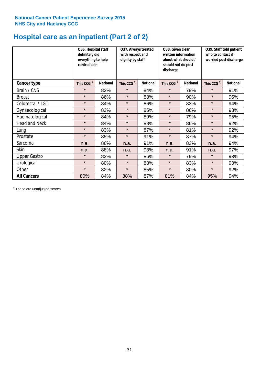## **Hospital care as an inpatient (Part 2 of 2)**

|                      | Q36. Hospital staff<br>definitely did<br>everything to help<br>control pain |                 | Q38. Given clear<br>Q37. Always treated<br>written information<br>with respect and<br>dignity by staff<br>about what should /<br>should not do post<br>discharge |                 |                        | Q39. Staff told patient<br>who to contact if<br>worried post discharge |                        |                 |
|----------------------|-----------------------------------------------------------------------------|-----------------|------------------------------------------------------------------------------------------------------------------------------------------------------------------|-----------------|------------------------|------------------------------------------------------------------------|------------------------|-----------------|
| Cancer type          | This CCG <sup>\$</sup>                                                      | <b>National</b> | This CCG <sup>\$</sup>                                                                                                                                           | <b>National</b> | This CCG <sup>\$</sup> | <b>National</b>                                                        | This CCG <sup>\$</sup> | <b>National</b> |
| Brain / CNS          | $\star$                                                                     | 82%             | $\star$                                                                                                                                                          | 84%             | $\star$                | 79%                                                                    | $\star$                | 91%             |
| <b>Breast</b>        | $\star$                                                                     | 86%             | $\star$                                                                                                                                                          | 88%             | $\star$                | 90%                                                                    | $\star$                | 95%             |
| Colorectal / LGT     | $\star$                                                                     | 84%             | $\star$                                                                                                                                                          | 86%             | $\star$                | 83%                                                                    | $\star$                | 94%             |
| Gynaecological       | $\star$                                                                     | 83%             | $\star$                                                                                                                                                          | 85%             | $\star$                | 86%                                                                    | $\star$                | 93%             |
| Haematological       | $\star$                                                                     | 84%             | $\star$                                                                                                                                                          | 89%             | $\star$                | 79%                                                                    | $\star$                | 95%             |
| <b>Head and Neck</b> | $\star$                                                                     | 84%             | $\star$                                                                                                                                                          | 88%             | $\star$                | 86%                                                                    | $\star$                | 92%             |
| Lung                 | $\star$                                                                     | 83%             | $\star$                                                                                                                                                          | 87%             | $\star$                | 81%                                                                    | $\star$                | 92%             |
| Prostate             | $\star$                                                                     | 85%             | $\star$                                                                                                                                                          | 91%             | $\star$                | 87%                                                                    | $\star$                | 94%             |
| Sarcoma              | n.a.                                                                        | 86%             | n.a.                                                                                                                                                             | 91%             | n.a.                   | 83%                                                                    | n.a.                   | 94%             |
| Skin                 | n.a.                                                                        | 88%             | n.a.                                                                                                                                                             | 93%             | n.a.                   | 91%                                                                    | n.a.                   | 97%             |
| <b>Upper Gastro</b>  | $\star$                                                                     | 83%             | $\star$                                                                                                                                                          | 86%             | $\star$                | 79%                                                                    | $\star$                | 93%             |
| Urological           | $\star$                                                                     | 80%             | $\star$                                                                                                                                                          | 88%             | $\star$                | 83%                                                                    | $\star$                | 90%             |
| Other                | $\star$                                                                     | 82%             | $\star$                                                                                                                                                          | 85%             | $\star$                | 80%                                                                    | $\star$                | 92%             |
| <b>All Cancers</b>   | 80%                                                                         | 84%             | 88%                                                                                                                                                              | 87%             | 81%                    | 84%                                                                    | 95%                    | 94%             |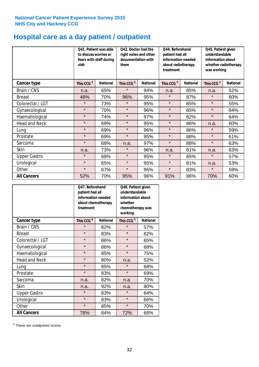## **Hospital care as a day patient / outpatient**

|                      | to discuss worries or<br>visit | Q41. Patient was able<br>fears with staff during | Q42. Doctor had the<br>right notes and other<br>documentation with<br>them |                 | Q44. Beforehand<br>patient had all<br>information needed<br>about radiotherapy<br>treatment |                 | Q45. Patient given<br>understandable<br>information about<br>whether radiotherapy<br>was working |                 |
|----------------------|--------------------------------|--------------------------------------------------|----------------------------------------------------------------------------|-----------------|---------------------------------------------------------------------------------------------|-----------------|--------------------------------------------------------------------------------------------------|-----------------|
| <b>Cancer type</b>   | This CCG <sup>\$</sup>         | <b>National</b>                                  | This CCG <sup>\$</sup>                                                     | <b>National</b> | This CCG <sup>\$</sup>                                                                      | <b>National</b> | This CCG <sup>\$</sup>                                                                           | <b>National</b> |
| Brain / CNS          | n.a.                           | 65%                                              | $\star$                                                                    | 94%             | n.a.                                                                                        | 85%             | n.a.                                                                                             | 52%             |
| <b>Breast</b>        | 48%                            | 70%                                              | 96%                                                                        | 95%             | $\star$                                                                                     | 87%             | $\star$                                                                                          | 60%             |
| Colorectal / LGT     | $\star$                        | 73%                                              | $\star$                                                                    | 95%             | $\star$                                                                                     | 85%             | $\star$                                                                                          | 55%             |
| Gynaecological       | $\star$                        | 70%                                              | $\star$                                                                    | 96%             | $\star$                                                                                     | 85%             | $\star$                                                                                          | 64%             |
| Haematological       | $\star$                        | 74%                                              | $\star$                                                                    | 97%             | $\star$                                                                                     | 82%             | $\star$                                                                                          | 64%             |
| <b>Head and Neck</b> | $\star$                        | 69%                                              | $\star$                                                                    | 95%             | $\star$                                                                                     | 86%             | n.a.                                                                                             | 60%             |
| Lung                 | $\star$                        | 69%                                              | $\star$                                                                    | 96%             | $\star$                                                                                     | 86%             | $\star$                                                                                          | 59%             |
| Prostate             | $\star$                        | 69%                                              | $\star$                                                                    | 95%             | $\star$                                                                                     | 88%             | $\star$                                                                                          | 61%             |
| Sarcoma              | $\star$                        | 68%                                              | n.a.                                                                       | 97%             | $\star$                                                                                     | 88%             | $\star$                                                                                          | 63%             |
| Skin                 | n.a.                           | 73%                                              | $\star$                                                                    | 96%             | n.a.                                                                                        | 81%             | n.a.                                                                                             | 63%             |
| <b>Upper Gastro</b>  | $\star$                        | 68%                                              | $\star$                                                                    | 95%             | $\star$                                                                                     | 85%             | $\star$                                                                                          | 57%             |
| Urological           | $\star$                        | 65%                                              | $\star$                                                                    | 95%             | $\star$                                                                                     | 81%             | n.a.                                                                                             | 53%             |
| Other                | $\star$                        | 67%                                              | $\star$                                                                    | 95%             | $\star$                                                                                     | 83%             | $\star$                                                                                          | 59%             |
| <b>All Cancers</b>   | 52%                            | 70%                                              | 95%                                                                        | 96%             | 91%                                                                                         | 86%             | 70%                                                                                              | 60%             |

|                      | Q47. Beforehand<br>patient had all<br>information needed<br>about chemotherapy<br>treatment |                 | Q48. Patient given<br>understandable<br>information about<br>whether<br>chemotherapy was<br>working |                 |  |
|----------------------|---------------------------------------------------------------------------------------------|-----------------|-----------------------------------------------------------------------------------------------------|-----------------|--|
| <b>Cancer type</b>   | This CCG <sup>\$</sup>                                                                      | <b>National</b> | This CCG <sup>\$</sup>                                                                              | <b>National</b> |  |
| Brain / CNS          | $\star$                                                                                     | 82%             | $\star$                                                                                             | 57%             |  |
| <b>Breast</b>        | $\star$                                                                                     | 83%             | $\star$                                                                                             | 62%             |  |
| Colorectal / LGT     | $\star$                                                                                     | 86%             | $\star$                                                                                             | 65%             |  |
| Gynaecological       | $\star$                                                                                     | 86%             | $\star$                                                                                             | 68%             |  |
| Haematological       | $\star$<br>85%                                                                              |                 | $\star$                                                                                             | 75%             |  |
| <b>Head and Neck</b> | $\star$                                                                                     | 80%             | n.a.                                                                                                | 52%             |  |
| Lung                 | $\star$                                                                                     | 85%             | $\star$                                                                                             | 68%             |  |
| Prostate             | $\star$                                                                                     | 83%             | $\star$                                                                                             | 69%             |  |
| Sarcoma              | n.a.                                                                                        | 82%             | n.a.                                                                                                | 70%             |  |
| <b>Skin</b>          | n.a.                                                                                        | 92%             | n.a.                                                                                                | 80%             |  |
| <b>Upper Gastro</b>  | $\star$                                                                                     | 83%             | $\star$                                                                                             | 64%             |  |
| Urological           | $\star$                                                                                     | 83%             | $\star$                                                                                             | 66%             |  |
| Other                | $\star$                                                                                     | 85%             | $\star$                                                                                             | 70%             |  |
| <b>All Cancers</b>   | 78%                                                                                         | 84%             | 72%                                                                                                 | 68%             |  |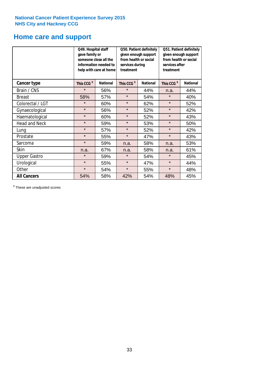## **Home care and support**

|                      | Q49. Hospital staff<br>gave family or | someone close all the<br>information needed to<br>help with care at home | Q50. Patient definitely<br>given enough support<br>from health or social<br>services during<br>treatment |                        | Q51. Patient definitely<br>given enough support<br>from health or social<br>services after<br>treatment |     |
|----------------------|---------------------------------------|--------------------------------------------------------------------------|----------------------------------------------------------------------------------------------------------|------------------------|---------------------------------------------------------------------------------------------------------|-----|
| <b>Cancer type</b>   | This CCG <sup>\$</sup>                | <b>National</b><br>This CCG <sup>\$</sup><br><b>National</b>             |                                                                                                          | This CCG <sup>\$</sup> | <b>National</b>                                                                                         |     |
| Brain / CNS          | $\star$                               | 56%                                                                      | $\star$                                                                                                  | 44%                    | n.a.                                                                                                    | 44% |
| <b>Breast</b>        | 58%                                   | 57%                                                                      | $\star$                                                                                                  | 54%                    | $\star$                                                                                                 | 40% |
| Colorectal / LGT     | $\star$                               | 60%                                                                      | $\star$                                                                                                  | 62%                    | $\star$                                                                                                 | 52% |
| Gynaecological       | $\star$                               | 56%                                                                      | $\star$                                                                                                  | 52%                    | $\star$                                                                                                 | 42% |
| Haematological       | $\star$                               | 60%                                                                      | $\star$                                                                                                  | 52%                    | $\star$                                                                                                 | 43% |
| <b>Head and Neck</b> | $\star$                               | 59%                                                                      | $\star$                                                                                                  | 53%                    | $\star$                                                                                                 | 50% |
| Lung                 | $\star$                               | 57%                                                                      | $\star$                                                                                                  | 52%                    | $\star$                                                                                                 | 42% |
| Prostate             | $\star$                               | 55%                                                                      | $\star$                                                                                                  | 47%                    | $\star$                                                                                                 | 43% |
| Sarcoma              | $\star$                               | 59%                                                                      | n.a.                                                                                                     | 58%                    | n.a.                                                                                                    | 53% |
| Skin                 | n.a.                                  | 67%                                                                      | n.a.                                                                                                     | 58%                    | n.a.                                                                                                    | 61% |
| <b>Upper Gastro</b>  | $\star$                               | 59%                                                                      | $\star$                                                                                                  | 54%                    | $\star$                                                                                                 | 45% |
| Urological           | $\star$                               | 55%                                                                      | $\star$                                                                                                  | 47%                    | $\star$                                                                                                 | 44% |
| Other                | $\star$                               | 54%                                                                      | $\star$                                                                                                  | 55%                    | $\star$                                                                                                 | 48% |
| <b>All Cancers</b>   | 54%                                   | 58%                                                                      | 42%                                                                                                      | 54%                    | 48%                                                                                                     | 45% |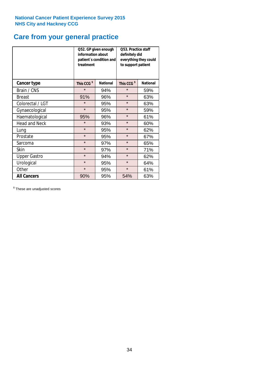# **Care from your general practice**

|                      | information about<br>treatment | Q52. GP given enough<br>patient's condition and | O53. Practice staff<br>definitely did<br>everything they could<br>to support patient |                 |  |
|----------------------|--------------------------------|-------------------------------------------------|--------------------------------------------------------------------------------------|-----------------|--|
| <b>Cancer type</b>   | This CCG <sup>\$</sup>         | <b>National</b>                                 | This CCG <sup>\$</sup>                                                               | <b>National</b> |  |
| Brain / CNS          | $\star$                        | 94%                                             | $\star$                                                                              | 59%             |  |
| <b>Breast</b>        | 91%                            | 96%                                             | $\star$                                                                              | 63%             |  |
| Colorectal / LGT     | $\star$                        | 95%                                             | $\star$                                                                              | 63%             |  |
| Gynaecological       | $\star$                        | 95%                                             | $\star$                                                                              | 59%             |  |
| Haematological       | 95%                            | 96%                                             | $\star$                                                                              | 61%             |  |
| <b>Head and Neck</b> | $\star$                        | 93%                                             | $\star$                                                                              | 60%             |  |
| Lung                 | $\star$                        | 95%                                             | $\star$                                                                              | 62%             |  |
| Prostate             | $\star$                        | 95%                                             | $\star$                                                                              | 67%             |  |
| Sarcoma              | $\star$                        | 97%                                             | $\star$                                                                              | 65%             |  |
| Skin                 | $\star$                        | 97%                                             | $\star$                                                                              | 71%             |  |
| <b>Upper Gastro</b>  | $\star$                        | 94%                                             | $\star$                                                                              | 62%             |  |
| Urological           | $\star$                        | 95%                                             | $\star$                                                                              | 64%             |  |
| Other                | $\star$                        | 95%                                             | $\star$                                                                              | 61%             |  |
| <b>All Cancers</b>   | 90%                            | 95%                                             | 54%                                                                                  | 63%             |  |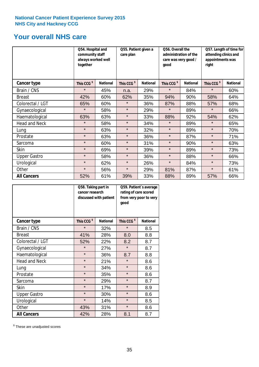## **Your overall NHS care**

|                      | Q54. Hospital and<br>community staff<br>always worked well<br>together |                 | Q55. Patient given a<br>care plan |                 | Q56. Overall the<br>administration of the<br>care was very good /<br>qood |                 | Q57. Length of time for<br>attending clinics and<br>appointments was<br>right |                 |
|----------------------|------------------------------------------------------------------------|-----------------|-----------------------------------|-----------------|---------------------------------------------------------------------------|-----------------|-------------------------------------------------------------------------------|-----------------|
| <b>Cancer type</b>   | This CCG <sup>\$</sup>                                                 | <b>National</b> | This CCG <sup>\$</sup>            | <b>National</b> | This CCG <sup>\$</sup>                                                    | <b>National</b> | This CCG <sup>\$</sup>                                                        | <b>National</b> |
| Brain / CNS          | $\star$                                                                | 45%             | n.a.                              | 29%             | $\star$                                                                   | 84%             | $\star$                                                                       | 60%             |
| <b>Breast</b>        | 42%                                                                    | 60%             | 62%                               | 35%             | 94%                                                                       | 90%             | 58%                                                                           | 64%             |
| Colorectal / LGT     | 65%                                                                    | 60%             | $\star$                           | 36%             | 87%                                                                       | 88%             | 57%                                                                           | 68%             |
| Gynaecological       | $\star$                                                                | 58%             | $\star$                           | 29%             | $\star$                                                                   | 89%             | $\star$                                                                       | 66%             |
| Haematological       | 63%                                                                    | 63%             | $\star$                           | 33%             | 88%                                                                       | 92%             | 54%                                                                           | 62%             |
| <b>Head and Neck</b> | $\star$                                                                | 58%             | $\star$                           | 34%             | $\star$                                                                   | 89%             | $\star$                                                                       | 65%             |
| Lung                 | $\star$                                                                | 63%             | $\star$                           | 32%             | $\star$                                                                   | 89%             | $\star$                                                                       | 70%             |
| Prostate             | $\star$                                                                | 63%             | $\star$                           | 36%             | $\star$                                                                   | 87%             | $\star$                                                                       | 71%             |
| Sarcoma              | $\star$                                                                | 60%             | $\star$                           | 31%             | $\star$                                                                   | 90%             | $\star$                                                                       | 63%             |
| Skin                 | $\star$                                                                | 69%             | $\star$                           | 39%             | $\star$                                                                   | 89%             | $\star$                                                                       | 73%             |
| <b>Upper Gastro</b>  | $\star$                                                                | 58%             | $\star$                           | 36%             | $\star$                                                                   | 88%             | $\star$                                                                       | 66%             |
| Urological           | $\star$                                                                | 62%             | $\star$                           | 26%             | $\star$                                                                   | 84%             | $\star$                                                                       | 73%             |
| Other                | $\star$                                                                | 56%             | $\star$                           | 29%             | 81%                                                                       | 87%             | $\star$                                                                       | 61%             |
| <b>All Cancers</b>   | 52%                                                                    | 61%             | 39%                               | 33%             | 88%                                                                       | 89%             | 57%                                                                           | 66%             |

|                      | Q58. Taking part in<br>cancer research | discussed with patient | Q59. Patient's average<br>rating of care scored<br>from very poor to very<br>good |                 |  |
|----------------------|----------------------------------------|------------------------|-----------------------------------------------------------------------------------|-----------------|--|
| <b>Cancer type</b>   | This CCG <sup>\$</sup>                 | <b>National</b>        | This CCG <sup>\$</sup>                                                            | <b>National</b> |  |
| Brain / CNS          | $\star$                                | 32%                    | $\star$                                                                           | 8.5             |  |
| <b>Breast</b>        | 41%                                    | 28%                    | 8.0                                                                               | 8.8             |  |
| Colorectal / LGT     | 52%                                    | 22%                    | 8.2                                                                               | 8.7             |  |
| Gynaecological       | $\star$                                | 27%                    | $\star$                                                                           | 8.7             |  |
| Haematological       | $\star$                                | 36%                    | 8.7                                                                               | 8.8             |  |
| <b>Head and Neck</b> | $\star$                                | 21%                    | $\star$                                                                           | 8.6             |  |
| Lung                 | $\star$                                | 34%                    | $\star$                                                                           | 8.6             |  |
| Prostate             | $\star$                                | 35%                    | $\star$                                                                           | 8.6             |  |
| Sarcoma              | $\star$                                | 29%                    | $\star$                                                                           | 8.7             |  |
| <b>Skin</b>          | $\star$                                | 17%                    | $\star$                                                                           | 8.9             |  |
| <b>Upper Gastro</b>  | $\star$                                | 30%                    | $\star$                                                                           | 8.6             |  |
| Urological           | $\star$                                | 14%                    | $\star$                                                                           | 8.5             |  |
| Other                | 43%                                    | 31%                    | $\star$                                                                           | 8.6             |  |
| <b>All Cancers</b>   | 42%                                    | 28%                    | 8.1                                                                               | 8.7             |  |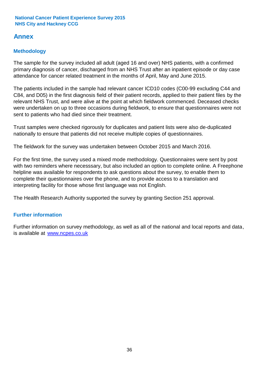## **Annex**

## **Methodology**

The sample for the survey included all adult (aged 16 and over) NHS patients, with a confirmed primary diagnosis of cancer, discharged from an NHS Trust after an inpatient episode or day case attendance for cancer related treatment in the months of April, May and June 2015.

The patients included in the sample had relevant cancer ICD10 codes (C00-99 excluding C44 and C84, and D05) in the first diagnosis field of their patient records, applied to their patient files by the relevant NHS Trust, and were alive at the point at which fieldwork commenced. Deceased checks were undertaken on up to three occasions during fieldwork, to ensure that questionnaires were not sent to patients who had died since their treatment.

Trust samples were checked rigorously for duplicates and patient lists were also de-duplicated nationally to ensure that patients did not receive multiple copies of questionnaires.

The fieldwork for the survey was undertaken between October 2015 and March 2016.

For the first time, the survey used a mixed mode methodology. Questionnaires were sent by post with two reminders where necesssary, but also included an option to complete online. A Freephone helpline was available for respondents to ask questions about the survey, to enable them to complete their questionnaires over the phone, and to provide access to a translation and interpreting facility for those whose first language was not English.

The Health Research Authority supported the survey by granting Section 251 approval.

## **Further information**

Further information on survey methodology, as well as all of the national and local reports and data, is available at www.ncpes.co.uk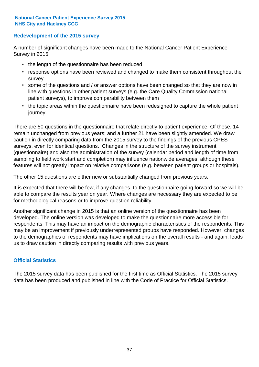### **Redevelopment of the 2015 survey**

A number of significant changes have been made to the National Cancer Patient Experience Survey in 2015:

- the length of the questionnaire has been reduced
- response options have been reviewed and changed to make them consistent throughout the survey
- some of the questions and / or answer options have been changed so that they are now in line with questions in other patient surveys (e.g. the Care Quality Commission national patient surveys), to improve comparability between them
- the topic areas within the questionnaire have been redesigned to capture the whole patient journey.

There are 50 questions in the questionnaire that relate directly to patient experience. Of these, 14 remain unchanged from previous years; and a further 21 have been slightly amended. We draw caution in directly comparing data from the 2015 survey to the findings of the previous CPES surveys, even for identical questions. Changes in the structure of the survey instrument (questionnaire) and also the administration of the survey (calendar period and length of time from sampling to field work start and completion) may influence nationwide averages, although these features will not greatly impact on relative comparisons (e.g. between patient groups or hospitals).

The other 15 questions are either new or substantially changed from previous years.

It is expected that there will be few, if any changes, to the questionnaire going forward so we will be able to compare the results year on year. Where changes are necessary they are expected to be for methodological reasons or to improve question reliability.

Another significant change in 2015 is that an online version of the questionnaire has been developed. The online version was developed to make the questionnaire more accessible for respondents. This may have an impact on the demographic characteristics of the respondents. This may be an improvement if previously underrepresented groups have responded. However, changes to the demographics of respondents may have implications on the overall results - and again, leads us to draw caution in directly comparing results with previous years.

## **Official Statistics**

The 2015 survey data has been published for the first time as Official Statistics. The 2015 survey data has been produced and published in line with the Code of Practice for Official Statistics.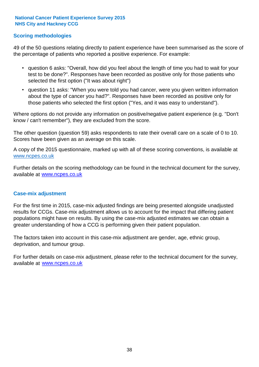### **Scoring methodologies**

49 of the 50 questions relating directly to patient experience have been summarised as the score of the percentage of patients who reported a positive experience. For example:

- question 6 asks: "Overall, how did you feel about the length of time you had to wait for your test to be done?". Responses have been recorded as positive only for those patients who selected the first option ("It was about right")
- question 11 asks: "When you were told you had cancer, were you given written information about the type of cancer you had?". Responses have been recorded as positive only for those patients who selected the first option ("Yes, and it was easy to understand").

Where options do not provide any information on positive/negative patient experience (e.g. "Don't know / can't remember"), they are excluded from the score.

The other question (question 59) asks respondents to rate their overall care on a scale of 0 to 10. Scores have been given as an average on this scale.

A copy of the 2015 questionnaire, marked up with all of these scoring conventions, is available at www.ncpes.co.uk

Further details on the scoring methodology can be found in the technical document for the survey, available at <u>www.ncpes.co.uk</u>

#### **Case-mix adjustment**

For the first time in 2015, case-mix adjusted findings are being presented alongside unadjusted results for CCGs. Case-mix adjustment allows us to account for the impact that differing patient populations might have on results. By using the case-mix adjusted estimates we can obtain a greater understanding of how a CCG is performing given their patient population.

The factors taken into account in this case-mix adjustment are gender, age, ethnic group, deprivation, and tumour group.

For further details on case-mix adjustment, please refer to the technical document for the survey, available at www.ncpes.co.uk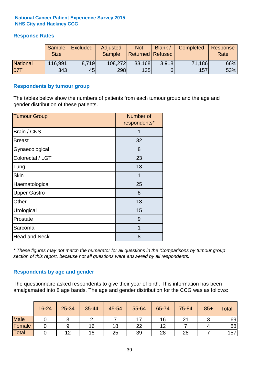## **Response Rates**

|                 | Sample<br><b>Size</b> | <b>Excluded</b> | Adjusted<br><b>Sample</b> | <b>Not</b><br><b>Returned Refused</b> | Blank / | Completed | Response<br>Rate |
|-----------------|-----------------------|-----------------|---------------------------|---------------------------------------|---------|-----------|------------------|
| <b>National</b> | 116,991               | 8.719           | 108,272                   | 33,168                                | 3.918   | 71,186    | 66%              |
| 07T             | 343                   | 45              | 298                       | 135                                   | 6       | 157       | 53%              |

#### **Respondents by tumour group**

The tables below show the numbers of patients from each tumour group and the age and gender distribution of these patients.

| <b>Tumour Group</b>  | Number of<br>respondents* |
|----------------------|---------------------------|
| Brain / CNS          | 1                         |
| <b>Breast</b>        | 32                        |
| Gynaecological       | 8                         |
| Colorectal / LGT     | 23                        |
| Lung                 | 13                        |
| <b>Skin</b>          | 1                         |
| Haematological       | 25                        |
| <b>Upper Gastro</b>  | 8                         |
| Other                | 13                        |
| Urological           | 15                        |
| Prostate             | 9                         |
| Sarcoma              | 1                         |
| <b>Head and Neck</b> | 8                         |

*\* These figures may not match the numerator for all questions in the 'Comparisons by tumour group' section of this report, because not all questions were answered by all respondents.*

## **Respondents by age and gender**

The questionnaire asked respondents to give their year of birth. This information has been amalgamated into 8 age bands. The age and gender distribution for the CCG was as follows:

|             | 16-24 | 25-34 | 35-44 | 45-54 | 55-64 | 65-74 | 75-84        | $85+$ | <b>Total</b> |
|-------------|-------|-------|-------|-------|-------|-------|--------------|-------|--------------|
| <b>Male</b> |       |       |       |       | –     | 16    | $\mathbf{A}$ |       | 69           |
| Female      |       |       | 16    | 18    | 22    | 12    |              |       | 88           |
| Total       |       | 12    | 18    | 25    | 39    | 28    | 28           |       | 157          |